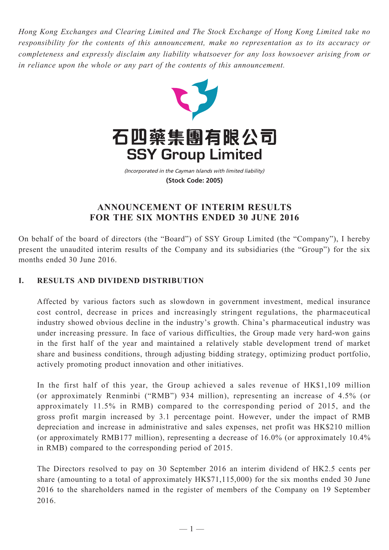*Hong Kong Exchanges and Clearing Limited and The Stock Exchange of Hong Kong Limited take no responsibility for the contents of this announcement, make no representation as to its accuracy or completeness and expressly disclaim any liability whatsoever for any loss howsoever arising from or in reliance upon the whole or any part of the contents of this announcement.*



(Incorporated in the Cayman Islands with limited liability) **(Stock Code: 2005)**

# **ANNOUNCEMENT OF INTERIM RESULTS FOR THE SIX MONTHS ENDED 30 JUNE 2016**

On behalf of the board of directors (the "Board") of SSY Group Limited (the "Company"), I hereby present the unaudited interim results of the Company and its subsidiaries (the "Group") for the six months ended 30 June 2016.

# **I. RESULTS AND DIVIDEND DISTRIBUTION**

Affected by various factors such as slowdown in government investment, medical insurance cost control, decrease in prices and increasingly stringent regulations, the pharmaceutical industry showed obvious decline in the industry's growth. China's pharmaceutical industry was under increasing pressure. In face of various difficulties, the Group made very hard-won gains in the first half of the year and maintained a relatively stable development trend of market share and business conditions, through adjusting bidding strategy, optimizing product portfolio, actively promoting product innovation and other initiatives.

In the first half of this year, the Group achieved a sales revenue of HK\$1,109 million (or approximately Renminbi ("RMB") 934 million), representing an increase of 4.5% (or approximately 11.5% in RMB) compared to the corresponding period of 2015, and the gross profit margin increased by 3.1 percentage point. However, under the impact of RMB depreciation and increase in administrative and sales expenses, net profit was HK\$210 million (or approximately RMB177 million), representing a decrease of 16.0% (or approximately 10.4% in RMB) compared to the corresponding period of 2015.

The Directors resolved to pay on 30 September 2016 an interim dividend of HK2.5 cents per share (amounting to a total of approximately HK\$71,115,000) for the six months ended 30 June 2016 to the shareholders named in the register of members of the Company on 19 September 2016.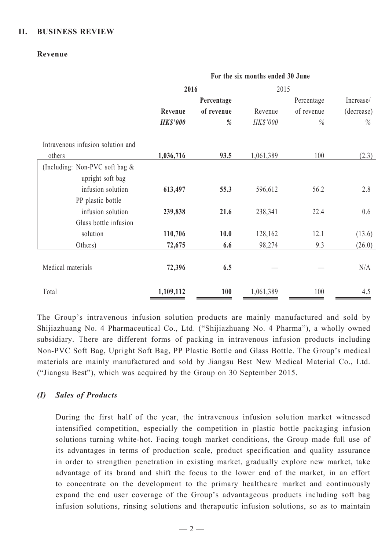## **II. BUSINESS REVIEW**

#### **Revenue**

|                                   | For the six months ended 30 June |            |           |            |            |
|-----------------------------------|----------------------------------|------------|-----------|------------|------------|
|                                   | 2016                             |            |           | 2015       |            |
|                                   |                                  | Percentage |           | Percentage | Increase/  |
|                                   | Revenue                          | of revenue | Revenue   | of revenue | (decrease) |
|                                   | <b>HK\$'000</b>                  | $\%$       | HK\$'000  | $\%$       | $\%$       |
| Intravenous infusion solution and |                                  |            |           |            |            |
| others                            | 1,036,716                        | 93.5       | 1,061,389 | 100        | (2.3)      |
| (Including: Non-PVC soft bag &    |                                  |            |           |            |            |
| upright soft bag                  |                                  |            |           |            |            |
| infusion solution                 | 613,497                          | 55.3       | 596,612   | 56.2       | 2.8        |
| PP plastic bottle                 |                                  |            |           |            |            |
| infusion solution                 | 239,838                          | 21.6       | 238,341   | 22.4       | 0.6        |
| Glass bottle infusion             |                                  |            |           |            |            |
| solution                          | 110,706                          | 10.0       | 128,162   | 12.1       | (13.6)     |
| Others)                           | 72,675                           | 6.6        | 98,274    | 9.3        | (26.0)     |
| Medical materials                 | 72,396                           | 6.5        |           |            | N/A        |
| Total                             | 1,109,112                        | 100        | 1,061,389 | 100        | 4.5        |

The Group's intravenous infusion solution products are mainly manufactured and sold by Shijiazhuang No. 4 Pharmaceutical Co., Ltd. ("Shijiazhuang No. 4 Pharma"), a wholly owned subsidiary. There are different forms of packing in intravenous infusion products including Non-PVC Soft Bag, Upright Soft Bag, PP Plastic Bottle and Glass Bottle. The Group's medical materials are mainly manufactured and sold by Jiangsu Best New Medical Material Co., Ltd. ("Jiangsu Best"), which was acquired by the Group on 30 September 2015.

#### *(I) Sales of Products*

During the first half of the year, the intravenous infusion solution market witnessed intensified competition, especially the competition in plastic bottle packaging infusion solutions turning white-hot. Facing tough market conditions, the Group made full use of its advantages in terms of production scale, product specification and quality assurance in order to strengthen penetration in existing market, gradually explore new market, take advantage of its brand and shift the focus to the lower end of the market, in an effort to concentrate on the development to the primary healthcare market and continuously expand the end user coverage of the Group's advantageous products including soft bag infusion solutions, rinsing solutions and therapeutic infusion solutions, so as to maintain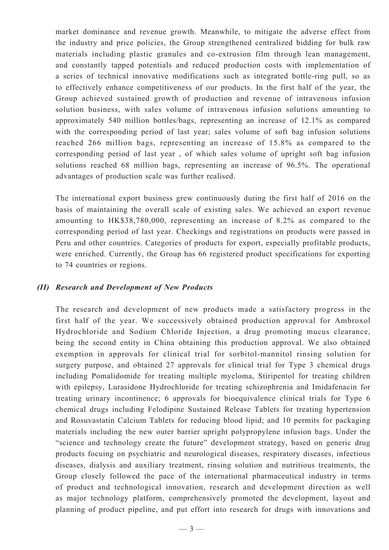market dominance and revenue growth. Meanwhile, to mitigate the adverse effect from the industry and price policies, the Group strengthened centralized bidding for bulk raw materials including plastic granules and co-extrusion film through lean management, and constantly tapped potentials and reduced production costs with implementation of a series of technical innovative modifications such as integrated bottle-ring pull, so as to effectively enhance competitiveness of our products. In the first half of the year, the Group achieved sustained growth of production and revenue of intravenous infusion solution business, with sales volume of intravenous infusion solutions amounting to approximately 540 million bottles/bags, representing an increase of 12.1% as compared with the corresponding period of last year; sales volume of soft bag infusion solutions reached 266 million bags, representing an increase of 15.8% as compared to the corresponding period of last year , of which sales volume of upright soft bag infusion solutions reached 68 million bags, representing an increase of 96.5%. The operational advantages of production scale was further realised.

The international export business grew continuously during the first half of 2016 on the basis of maintaining the overall scale of existing sales. We achieved an export revenue amounting to HK\$38,780,000, representing an increase of 8.2% as compared to the corresponding period of last year. Checkings and registrations on products were passed in Peru and other countries. Categories of products for export, especially profitable products, were enriched. Currently, the Group has 66 registered product specifications for exporting to 74 countries or regions.

#### *(II) Research and Development of New Products*

The research and development of new products made a satisfactory progress in the first half of the year. We successively obtained production approval for Ambroxol Hydrochloride and Sodium Chloride Injection, a drug promoting mucus clearance, being the second entity in China obtaining this production approval. We also obtained exemption in approvals for clinical trial for sorbitol-mannitol rinsing solution for surgery purpose, and obtained 27 approvals for clinical trial for Type 3 chemical drugs including Pomalidomide for treating multiple myeloma, Stiripentol for treating children with epilepsy, Lurasidone Hydrochloride for treating schizophrenia and Imidafenacin for treating urinary incontinence; 6 approvals for bioequivalence clinical trials for Type 6 chemical drugs including Felodipine Sustained Release Tablets for treating hypertension and Rosuvastatin Calcium Tablets for reducing blood lipid; and 10 permits for packaging materials including the new outer barrier upright polypropylene infusion bags. Under the "science and technology create the future" development strategy, based on generic drug products focuing on psychiatric and neurological diseases, respiratory diseases, infectious diseases, dialysis and auxiliary treatment, rinsing solution and nutritious treatments, the Group closely followed the pace of the international pharmaceutical industry in terms of product and technological innovation, research and development direction as well as major technology platform, comprehensively promoted the development, layout and planning of product pipeline, and put effort into research for drugs with innovations and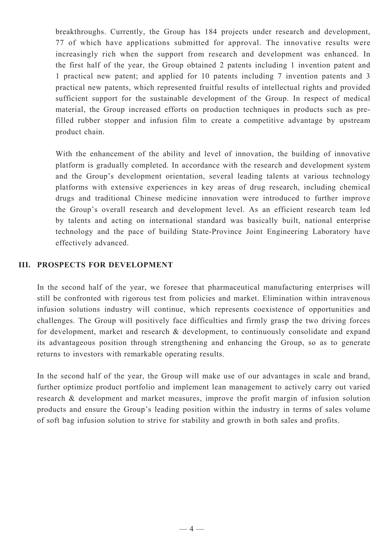breakthroughs. Currently, the Group has 184 projects under research and development, 77 of which have applications submitted for approval. The innovative results were increasingly rich when the support from research and development was enhanced. In the first half of the year, the Group obtained 2 patents including 1 invention patent and 1 practical new patent; and applied for 10 patents including 7 invention patents and 3 practical new patents, which represented fruitful results of intellectual rights and provided sufficient support for the sustainable development of the Group. In respect of medical material, the Group increased efforts on production techniques in products such as prefilled rubber stopper and infusion film to create a competitive advantage by upstream product chain.

With the enhancement of the ability and level of innovation, the building of innovative platform is gradually completed. In accordance with the research and development system and the Group's development orientation, several leading talents at various technology platforms with extensive experiences in key areas of drug research, including chemical drugs and traditional Chinese medicine innovation were introduced to further improve the Group's overall research and development level. As an efficient research team led by talents and acting on international standard was basically built, national enterprise technology and the pace of building State-Province Joint Engineering Laboratory have effectively advanced.

# **III. PROSPECTS FOR DEVELOPMENT**

In the second half of the year, we foresee that pharmaceutical manufacturing enterprises will still be confronted with rigorous test from policies and market. Elimination within intravenous infusion solutions industry will continue, which represents coexistence of opportunities and challenges. The Group will positively face difficulties and firmly grasp the two driving forces for development, market and research & development, to continuously consolidate and expand its advantageous position through strengthening and enhancing the Group, so as to generate returns to investors with remarkable operating results.

In the second half of the year, the Group will make use of our advantages in scale and brand, further optimize product portfolio and implement lean management to actively carry out varied research & development and market measures, improve the profit margin of infusion solution products and ensure the Group's leading position within the industry in terms of sales volume of soft bag infusion solution to strive for stability and growth in both sales and profits.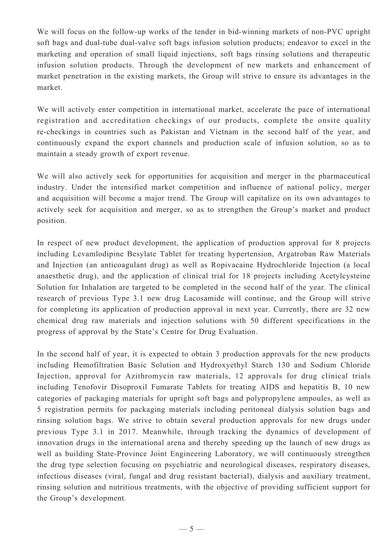We will focus on the follow-up works of the tender in bid-winning markets of non-PVC upright soft bags and dual-tube dual-valve soft bags infusion solution products; endeavor to excel in the marketing and operation of small liquid injections, soft bags rinsing solutions and therapeutic infusion solution products. Through the development of new markets and enhancement of market penetration in the existing markets, the Group will strive to ensure its advantages in the market.

We will actively enter competition in international market, accelerate the pace of international registration and accreditation checkings of our products, complete the onsite quality re-checkings in countries such as Pakistan and Vietnam in the second half of the year, and continuously expand the export channels and production scale of infusion solution, so as to maintain a steady growth of export revenue.

We will also actively seek for opportunities for acquisition and merger in the pharmaceutical industry. Under the intensified market competition and influence of national policy, merger and acquisition will become a major trend. The Group will capitalize on its own advantages to actively seek for acquisition and merger, so as to strengthen the Group's market and product position.

In respect of new product development, the application of production approval for 8 projects including Levamlodipine Besylate Tablet for treating hypertension, Argatroban Raw Materials and Injection (an anticoagulant drug) as well as Ropivacaine Hydrochloride Injection (a local anaesthetic drug), and the application of clinical trial for 18 projects including Acetylcysteine Solution for Inhalation are targeted to be completed in the second half of the year. The clinical research of previous Type 3.1 new drug Lacosamide will continue, and the Group will strive for completing its application of production approval in next year. Currently, there are 32 new chemical drug raw materials and injection solutions with 50 different specifications in the progress of approval by the State's Centre for Drug Evaluation.

In the second half of year, it is expected to obtain 3 production approvals for the new products including Hemofiltration Basic Solution and Hydroxyethyl Starch 130 and Sodium Chloride Injection, approval for Azithromycin raw materials, 12 approvals for drug clinical trials including Tenofovir Disoproxil Fumarate Tablets for treating AIDS and hepatitis B, 10 new categories of packaging materials for upright soft bags and polypropylene ampoules, as well as 5 registration permits for packaging materials including peritoneal dialysis solution bags and rinsing solution bags. We strive to obtain several production approvals for new drugs under previous Type 3.1 in 2017. Meanwhile, through tracking the dynamics of development of innovation drugs in the international arena and thereby speeding up the launch of new drugs as well as building State-Province Joint Engineering Laboratory, we will continuously strengthen the drug type selection focusing on psychiatric and neurological diseases, respiratory diseases, infectious diseases (viral, fungal and drug resistant bacterial), dialysis and auxiliary treatment, rinsing solution and nutritious treatments, with the objective of providing sufficient support for the Group's development.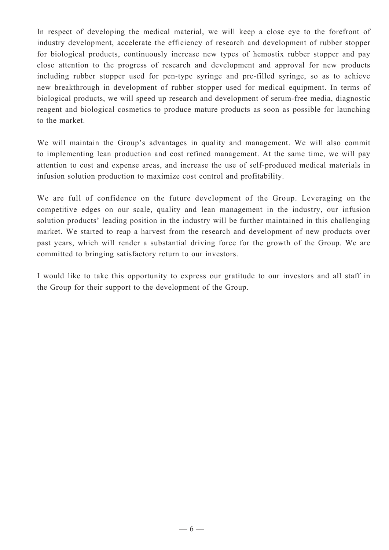In respect of developing the medical material, we will keep a close eye to the forefront of industry development, accelerate the efficiency of research and development of rubber stopper for biological products, continuously increase new types of hemostix rubber stopper and pay close attention to the progress of research and development and approval for new products including rubber stopper used for pen-type syringe and pre-filled syringe, so as to achieve new breakthrough in development of rubber stopper used for medical equipment. In terms of biological products, we will speed up research and development of serum-free media, diagnostic reagent and biological cosmetics to produce mature products as soon as possible for launching to the market.

We will maintain the Group's advantages in quality and management. We will also commit to implementing lean production and cost refined management. At the same time, we will pay attention to cost and expense areas, and increase the use of self-produced medical materials in infusion solution production to maximize cost control and profitability.

We are full of confidence on the future development of the Group. Leveraging on the competitive edges on our scale, quality and lean management in the industry, our infusion solution products' leading position in the industry will be further maintained in this challenging market. We started to reap a harvest from the research and development of new products over past years, which will render a substantial driving force for the growth of the Group. We are committed to bringing satisfactory return to our investors.

I would like to take this opportunity to express our gratitude to our investors and all staff in the Group for their support to the development of the Group.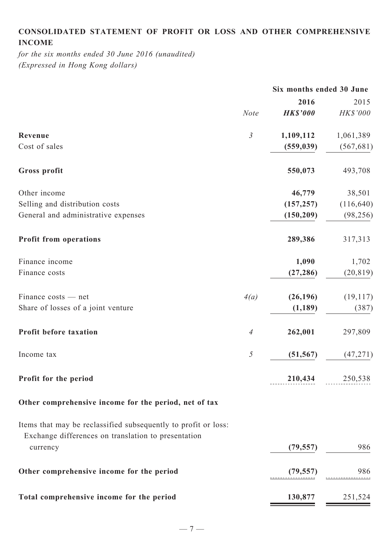# **Consolidated statement of profit or loss and other comprehensive income**

*for the six months ended 30 June 2016 (unaudited) (Expressed in Hong Kong dollars)*

|                                                                                                                       |                | Six months ended 30 June |                 |
|-----------------------------------------------------------------------------------------------------------------------|----------------|--------------------------|-----------------|
|                                                                                                                       |                | 2016                     | 2015            |
|                                                                                                                       | <b>Note</b>    | <b>HK\$'000</b>          | HK\$'000        |
| Revenue                                                                                                               | $\mathfrak{Z}$ | 1,109,112                | 1,061,389       |
| Cost of sales                                                                                                         |                | (559, 039)               | (567, 681)      |
| Gross profit                                                                                                          |                | 550,073                  | 493,708         |
| Other income                                                                                                          |                | 46,779                   | 38,501          |
| Selling and distribution costs                                                                                        |                | (157, 257)               | (116, 640)      |
| General and administrative expenses                                                                                   |                | (150, 209)               | (98, 256)       |
| <b>Profit from operations</b>                                                                                         |                | 289,386                  | 317,313         |
| Finance income                                                                                                        |                | 1,090                    | 1,702           |
| Finance costs                                                                                                         |                | (27, 286)                | (20, 819)       |
| Finance costs — net                                                                                                   | 4(a)           | (26, 196)                | (19, 117)       |
| Share of losses of a joint venture                                                                                    |                | (1, 189)                 | (387)           |
| Profit before taxation                                                                                                | $\overline{A}$ | 262,001                  | 297,809         |
| Income tax                                                                                                            | $\mathfrak{H}$ | (51, 567)                | (47, 271)       |
| Profit for the period                                                                                                 |                |                          | 210,434 250,538 |
| Other comprehensive income for the period, net of tax                                                                 |                |                          |                 |
| Items that may be reclassified subsequently to profit or loss:<br>Exchange differences on translation to presentation |                |                          |                 |
| currency                                                                                                              |                | (79, 557)                | 986             |
| Other comprehensive income for the period                                                                             |                | (79, 557)                | 986             |
| Total comprehensive income for the period                                                                             |                | 130,877                  | 251,524         |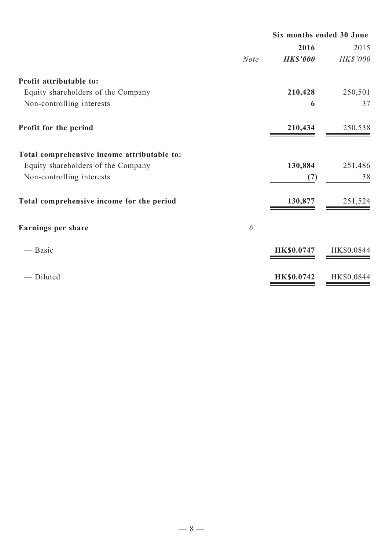|                                             |             | Six months ended 30 June |            |
|---------------------------------------------|-------------|--------------------------|------------|
|                                             |             | 2016                     | 2015       |
|                                             | <b>Note</b> | <b>HK\$'000</b>          | HK\$'000   |
| Profit attributable to:                     |             |                          |            |
| Equity shareholders of the Company          |             | 210,428                  | 250,501    |
| Non-controlling interests                   |             | 6                        | 37         |
| Profit for the period                       |             | 210,434                  | 250,538    |
| Total comprehensive income attributable to: |             |                          |            |
| Equity shareholders of the Company          |             | 130,884                  | 251,486    |
| Non-controlling interests                   |             | (7)                      | 38         |
| Total comprehensive income for the period   |             | 130,877                  | 251,524    |
| Earnings per share                          | 6           |                          |            |
| — Basic                                     |             | <b>HK\$0.0747</b>        | HK\$0.0844 |
| Diluted                                     |             | <b>HK\$0.0742</b>        | HK\$0.0844 |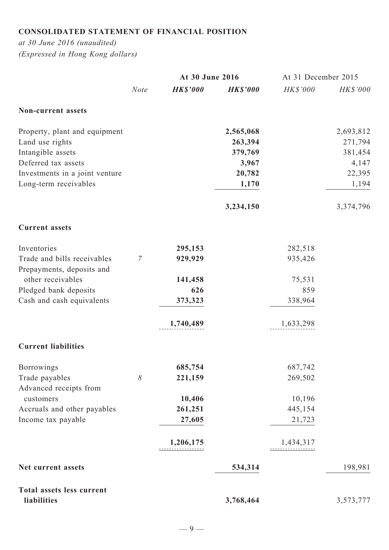# **Consolidated statement of financial position**

*at 30 June 2016 (unaudited) (Expressed in Hong Kong dollars)*

|                                  |                | At 30 June 2016 |                 | At 31 December 2015 |                 |
|----------------------------------|----------------|-----------------|-----------------|---------------------|-----------------|
|                                  | <b>Note</b>    | <b>HK\$'000</b> | <b>HK\$'000</b> | HK\$'000            | <b>HK\$'000</b> |
| <b>Non-current assets</b>        |                |                 |                 |                     |                 |
| Property, plant and equipment    |                |                 | 2,565,068       |                     | 2,693,812       |
| Land use rights                  |                |                 | 263,394         |                     | 271,794         |
| Intangible assets                |                |                 | 379,769         |                     | 381,454         |
| Deferred tax assets              |                |                 | 3,967           |                     | 4,147           |
| Investments in a joint venture   |                |                 | 20,782          |                     | 22,395          |
| Long-term receivables            |                |                 | 1,170           |                     | 1,194           |
|                                  |                |                 | 3,234,150       |                     | 3,374,796       |
| <b>Current assets</b>            |                |                 |                 |                     |                 |
| Inventories                      |                | 295,153         |                 | 282,518             |                 |
| Trade and bills receivables      | $\overline{7}$ | 929,929         |                 | 935,426             |                 |
| Prepayments, deposits and        |                |                 |                 |                     |                 |
| other receivables                |                | 141,458         |                 | 75,531              |                 |
| Pledged bank deposits            |                | 626             |                 | 859                 |                 |
| Cash and cash equivalents        |                | 373,323         |                 | 338,964             |                 |
|                                  |                | 1,740,489       |                 | 1,633,298           |                 |
| <b>Current liabilities</b>       |                |                 |                 |                     |                 |
| Borrowings                       |                | 685,754         |                 | 687,742             |                 |
| Trade payables                   | 8              | 221,159         |                 | 269,502             |                 |
| Advanced receipts from           |                |                 |                 |                     |                 |
| customers                        |                | 10,406          |                 | 10,196              |                 |
| Accruals and other payables      |                | 261,251         |                 | 445,154             |                 |
| Income tax payable               |                | 27,605          |                 | 21,723              |                 |
|                                  |                | 1,206,175<br>.  |                 | 1,434,317           |                 |
| Net current assets               |                |                 | 534,314         |                     | 198,981         |
| <b>Total assets less current</b> |                |                 |                 |                     |                 |
| liabilities                      |                |                 | 3,768,464       |                     | 3,573,777       |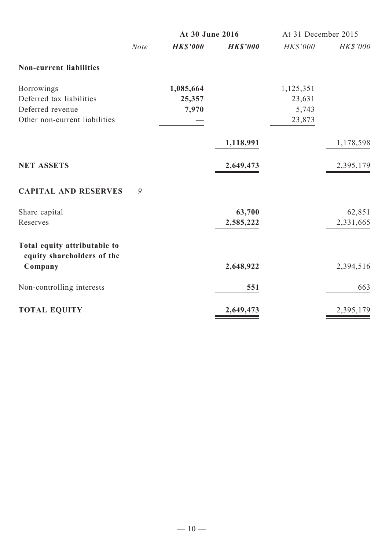|                                                            |             | At 30 June 2016 |                 | At 31 December 2015 |                 |
|------------------------------------------------------------|-------------|-----------------|-----------------|---------------------|-----------------|
|                                                            | <b>Note</b> | <b>HK\$'000</b> | <b>HK\$'000</b> | <b>HK\$'000</b>     | <b>HK\$'000</b> |
| <b>Non-current liabilities</b>                             |             |                 |                 |                     |                 |
| <b>Borrowings</b>                                          |             | 1,085,664       |                 | 1,125,351           |                 |
| Deferred tax liabilities                                   |             | 25,357          |                 | 23,631              |                 |
| Deferred revenue                                           |             | 7,970           |                 | 5,743               |                 |
| Other non-current liabilities                              |             |                 |                 | 23,873              |                 |
|                                                            |             |                 | 1,118,991       |                     | 1,178,598       |
| <b>NET ASSETS</b>                                          |             |                 | 2,649,473       |                     | 2,395,179       |
| <b>CAPITAL AND RESERVES</b>                                | 9           |                 |                 |                     |                 |
| Share capital                                              |             |                 | 63,700          |                     | 62,851          |
| Reserves                                                   |             |                 | 2,585,222       |                     | 2,331,665       |
| Total equity attributable to<br>equity shareholders of the |             |                 |                 |                     |                 |
| Company                                                    |             |                 | 2,648,922       |                     | 2,394,516       |
| Non-controlling interests                                  |             |                 | 551             |                     | 663             |
| <b>TOTAL EQUITY</b>                                        |             |                 | 2,649,473       |                     | 2,395,179       |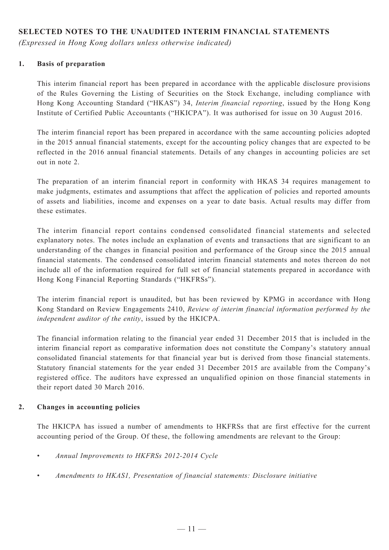# **SELECTED NOTES TO THE UNAUDITED INTERIM FINANCIAL STATEMENTS**

*(Expressed in Hong Kong dollars unless otherwise indicated)*

#### **1. Basis of preparation**

This interim financial report has been prepared in accordance with the applicable disclosure provisions of the Rules Governing the Listing of Securities on the Stock Exchange, including compliance with Hong Kong Accounting Standard ("HKAS") 34, *Interim financial reporting*, issued by the Hong Kong Institute of Certified Public Accountants ("HKICPA"). It was authorised for issue on 30 August 2016.

The interim financial report has been prepared in accordance with the same accounting policies adopted in the 2015 annual financial statements, except for the accounting policy changes that are expected to be reflected in the 2016 annual financial statements. Details of any changes in accounting policies are set out in note 2.

The preparation of an interim financial report in conformity with HKAS 34 requires management to make judgments, estimates and assumptions that affect the application of policies and reported amounts of assets and liabilities, income and expenses on a year to date basis. Actual results may differ from these estimates.

The interim financial report contains condensed consolidated financial statements and selected explanatory notes. The notes include an explanation of events and transactions that are significant to an understanding of the changes in financial position and performance of the Group since the 2015 annual financial statements. The condensed consolidated interim financial statements and notes thereon do not include all of the information required for full set of financial statements prepared in accordance with Hong Kong Financial Reporting Standards ("HKFRSs").

The interim financial report is unaudited, but has been reviewed by KPMG in accordance with Hong Kong Standard on Review Engagements 2410, *Review of interim financial information performed by the independent auditor of the entity*, issued by the HKICPA.

The financial information relating to the financial year ended 31 December 2015 that is included in the interim financial report as comparative information does not constitute the Company's statutory annual consolidated financial statements for that financial year but is derived from those financial statements. Statutory financial statements for the year ended 31 December 2015 are available from the Company's registered office. The auditors have expressed an unqualified opinion on those financial statements in their report dated 30 March 2016.

#### **2. Changes in accounting policies**

The HKICPA has issued a number of amendments to HKFRSs that are first effective for the current accounting period of the Group. Of these, the following amendments are relevant to the Group:

- • *Annual Improvements to HKFRSs 2012-2014 Cycle*
- • *Amendments to HKAS1, Presentation of financial statements: Disclosure initiative*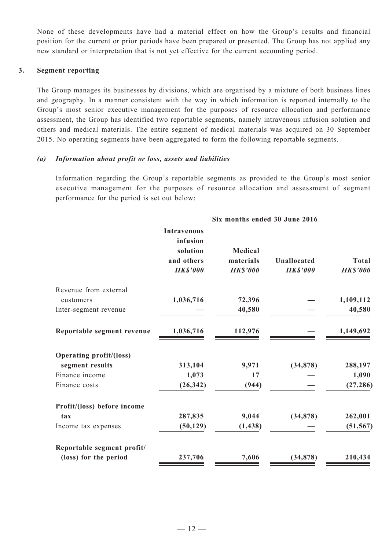None of these developments have had a material effect on how the Group's results and financial position for the current or prior periods have been prepared or presented. The Group has not applied any new standard or interpretation that is not yet effective for the current accounting period.

#### **3. Segment reporting**

The Group manages its businesses by divisions, which are organised by a mixture of both business lines and geography. In a manner consistent with the way in which information is reported internally to the Group's most senior executive management for the purposes of resource allocation and performance assessment, the Group has identified two reportable segments, namely intravenous infusion solution and others and medical materials. The entire segment of medical materials was acquired on 30 September 2015. No operating segments have been aggregated to form the following reportable segments.

#### *(a) Information about profit or loss, assets and liabilities*

Information regarding the Group's reportable segments as provided to the Group's most senior executive management for the purposes of resource allocation and assessment of segment performance for the period is set out below:

|                                | Six months ended 30 June 2016                                               |                                               |                                      |                                 |  |
|--------------------------------|-----------------------------------------------------------------------------|-----------------------------------------------|--------------------------------------|---------------------------------|--|
|                                | <b>Intravenous</b><br>infusion<br>solution<br>and others<br><b>HK\$'000</b> | <b>Medical</b><br>materials<br><b>HKS'000</b> | <b>Unallocated</b><br><b>HKS'000</b> | <b>Total</b><br><b>HK\$'000</b> |  |
| Revenue from external          |                                                                             |                                               |                                      |                                 |  |
| customers                      | 1,036,716                                                                   | 72,396                                        |                                      | 1,109,112                       |  |
| Inter-segment revenue          |                                                                             | 40,580                                        |                                      | 40,580                          |  |
| Reportable segment revenue     | 1,036,716                                                                   | 112,976                                       |                                      | 1,149,692                       |  |
| <b>Operating profit/(loss)</b> |                                                                             |                                               |                                      |                                 |  |
| segment results                | 313,104                                                                     | 9,971                                         | (34, 878)                            | 288,197                         |  |
| Finance income                 | 1,073                                                                       | 17                                            |                                      | 1,090                           |  |
| Finance costs                  | (26, 342)                                                                   | (944)                                         |                                      | (27, 286)                       |  |
| Profit/(loss) before income    |                                                                             |                                               |                                      |                                 |  |
| tax                            | 287,835                                                                     | 9,044                                         | (34,878)                             | 262,001                         |  |
| Income tax expenses            | (50, 129)                                                                   | (1, 438)                                      |                                      | (51, 567)                       |  |
| Reportable segment profit/     |                                                                             |                                               |                                      |                                 |  |
| (loss) for the period          | 237,706                                                                     | 7,606                                         | (34, 878)                            | 210,434                         |  |
|                                |                                                                             |                                               |                                      |                                 |  |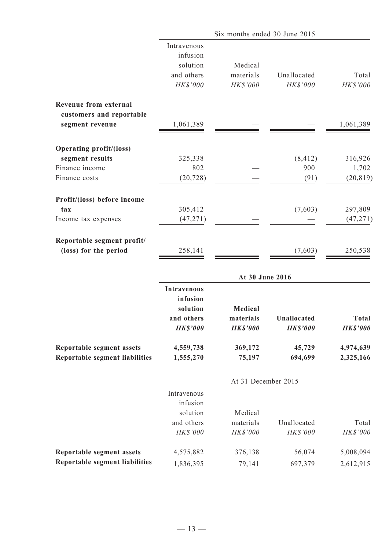|                                                                    |                                                                             | Six months ended 30 June 2015           |                                |                                 |
|--------------------------------------------------------------------|-----------------------------------------------------------------------------|-----------------------------------------|--------------------------------|---------------------------------|
|                                                                    | Intravenous<br>infusion<br>solution<br>and others<br>HK\$'000               | Medical<br>materials<br>HK\$'000        | Unallocated<br>HK\$'000        | Total<br>HK\$'000               |
| <b>Revenue from external</b><br>customers and reportable           |                                                                             |                                         |                                |                                 |
| segment revenue                                                    | 1,061,389                                                                   |                                         |                                | 1,061,389                       |
| <b>Operating profit/(loss)</b>                                     |                                                                             |                                         |                                |                                 |
| segment results                                                    | 325,338                                                                     |                                         | (8, 412)                       | 316,926                         |
| Finance income                                                     | 802                                                                         |                                         | 900                            | 1,702                           |
| Finance costs                                                      | (20, 728)                                                                   |                                         | (91)                           | (20, 819)                       |
| Profit/(loss) before income                                        |                                                                             |                                         |                                |                                 |
| tax                                                                | 305,412                                                                     |                                         | (7,603)                        | 297,809                         |
| Income tax expenses                                                | (47, 271)                                                                   |                                         |                                | (47, 271)                       |
| Reportable segment profit/<br>(loss) for the period                | 258,141                                                                     |                                         | (7,603)                        | 250,538                         |
|                                                                    |                                                                             | At 30 June 2016                         |                                |                                 |
|                                                                    | <b>Intravenous</b><br>infusion<br>solution<br>and others<br><b>HK\$'000</b> | Medical<br>materials<br><b>HK\$'000</b> | Unallocated<br><b>HK\$'000</b> | <b>Total</b><br><b>HK\$'000</b> |
| Reportable segment assets<br><b>Reportable segment liabilities</b> | 4,559,738<br>1,555,270                                                      | 369,172<br>75,197                       | 45,729<br>694,699              | 4,974,639<br>2,325,166          |
|                                                                    |                                                                             | At 31 December 2015                     |                                |                                 |
|                                                                    | Intravenous                                                                 |                                         |                                |                                 |
|                                                                    | infusion                                                                    |                                         |                                |                                 |
|                                                                    | solution                                                                    | Medical                                 |                                |                                 |
|                                                                    | and others                                                                  | materials                               | Unallocated                    | Total                           |
|                                                                    | HK\$'000                                                                    | HK\$'000                                | HK\$'000                       | HK\$'000                        |
| Reportable segment assets                                          | 4,575,882                                                                   | 376,138                                 | 56,074                         | 5,008,094                       |
| <b>Reportable segment liabilities</b>                              | 1,836,395                                                                   | 79,141                                  | 697,379                        | 2,612,915                       |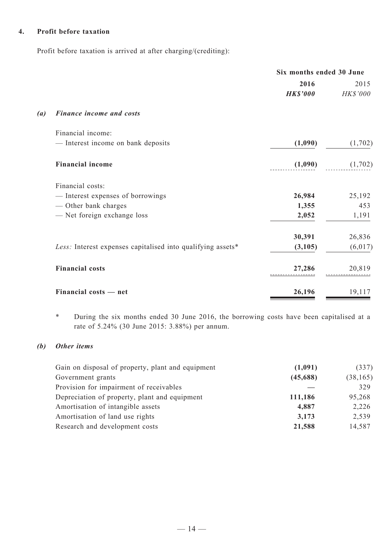#### **4. Profit before taxation**

Profit before taxation is arrived at after charging/(crediting):

|                   |                                                             | Six months ended 30 June |          |
|-------------------|-------------------------------------------------------------|--------------------------|----------|
|                   |                                                             | 2016                     | 2015     |
|                   |                                                             | <b>HK\$'000</b>          | HK\$'000 |
| $\left( a\right)$ | <b>Finance income and costs</b>                             |                          |          |
|                   | Financial income:                                           |                          |          |
|                   | - Interest income on bank deposits                          | (1,090)                  | (1,702)  |
|                   | <b>Financial income</b>                                     | (1,090)                  | (1,702)  |
|                   | Financial costs:                                            |                          |          |
|                   | - Interest expenses of borrowings                           | 26,984                   | 25,192   |
|                   | - Other bank charges                                        | 1,355                    | 453      |
|                   | - Net foreign exchange loss                                 | 2,052                    | 1,191    |
|                   |                                                             | 30,391                   | 26,836   |
|                   | Less: Interest expenses capitalised into qualifying assets* | (3,105)                  | (6, 017) |
|                   | <b>Financial costs</b>                                      | 27,286                   | 20,819   |
|                   | Financial costs - net                                       | 26,196                   | 19,117   |

\* During the six months ended 30 June 2016, the borrowing costs have been capitalised at a rate of 5.24% (30 June 2015: 3.88%) per annum.

## *(b) Other items*

| Gain on disposal of property, plant and equipment | (1,091)  | (337)     |
|---------------------------------------------------|----------|-----------|
| Government grants                                 | (45,688) | (38, 165) |
| Provision for impairment of receivables           |          | 329       |
| Depreciation of property, plant and equipment     | 111,186  | 95,268    |
| Amortisation of intangible assets                 | 4,887    | 2,226     |
| Amortisation of land use rights                   | 3,173    | 2,539     |
| Research and development costs                    | 21,588   | 14,587    |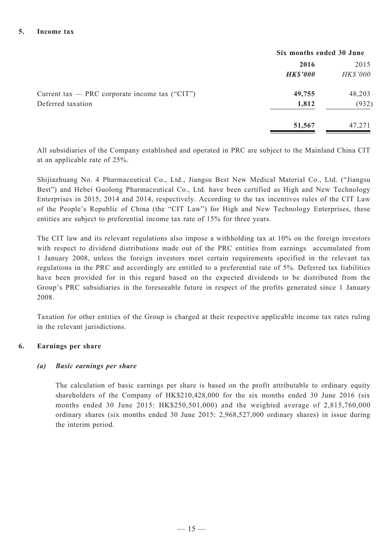|                                                  | Six months ended 30 June |          |  |
|--------------------------------------------------|--------------------------|----------|--|
|                                                  | 2016                     | 2015     |  |
|                                                  | <b>HK\$'000</b>          | HK\$'000 |  |
| Current tax — PRC corporate income tax $("CIT")$ | 49,755                   | 48,203   |  |
| Deferred taxation                                | 1,812                    | (932)    |  |
|                                                  | 51,567                   | 47,271   |  |

All subsidiaries of the Company established and operated in PRC are subject to the Mainland China CIT at an applicable rate of 25%.

Shijiazhuang No. 4 Pharmaceutical Co., Ltd., Jiangsu Best New Medical Material Co., Ltd. ("Jiangsu Best") and Hebei Guolong Pharmaceutical Co., Ltd. have been certified as High and New Technology Enterprises in 2015, 2014 and 2014, respectively. According to the tax incentives rules of the CIT Law of the People's Republic of China (the "CIT Law") for High and New Technology Enterprises, these entities are subject to preferential income tax rate of 15% for three years.

The CIT law and its relevant regulations also impose a withholding tax at 10% on the foreign investors with respect to dividend distributions made out of the PRC entities from earnings accumulated from 1 January 2008, unless the foreign investors meet certain requirements specified in the relevant tax regulations in the PRC and accordingly are entitled to a preferential rate of 5%. Deferred tax liabilities have been provided for in this regard based on the expected dividends to be distributed from the Group's PRC subsidiaries in the foreseeable future in respect of the profits generated since 1 January 2008.

Taxation for other entities of the Group is charged at their respective applicable income tax rates ruling in the relevant jurisdictions.

## **6. Earnings per share**

#### *(a) Basic earnings per share*

The calculation of basic earnings per share is based on the profit attributable to ordinary equity shareholders of the Company of HK\$210,428,000 for the six months ended 30 June 2016 (six months ended 30 June 2015: HK\$250,501,000) and the weighted average of 2,815,760,000 ordinary shares (six months ended 30 June 2015: 2,968,527,000 ordinary shares) in issue during the interim period.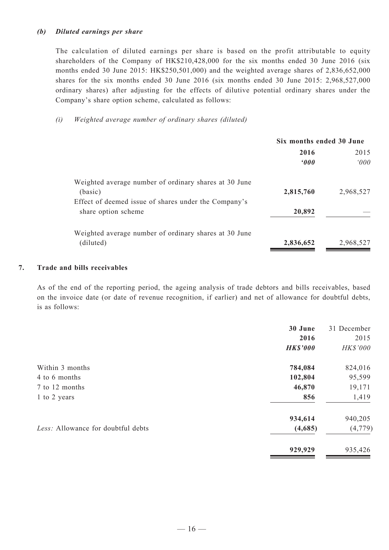#### *(b) Diluted earnings per share*

The calculation of diluted earnings per share is based on the profit attributable to equity shareholders of the Company of HK\$210,428,000 for the six months ended 30 June 2016 (six months ended 30 June 2015: HK\$250,501,000) and the weighted average shares of 2,836,652,000 shares for the six months ended 30 June 2016 (six months ended 30 June 2015: 2,968,527,000 ordinary shares) after adjusting for the effects of dilutive potential ordinary shares under the Company's share option scheme, calculated as follows:

#### *(i) Weighted average number of ordinary shares (diluted)*

|                                                       | Six months ended 30 June |           |  |
|-------------------------------------------------------|--------------------------|-----------|--|
|                                                       | 2016                     | 2015      |  |
|                                                       | $000^{\circ}$            | 000       |  |
| Weighted average number of ordinary shares at 30 June |                          |           |  |
| (basic)                                               | 2,815,760                | 2,968,527 |  |
| Effect of deemed issue of shares under the Company's  |                          |           |  |
| share option scheme                                   | 20,892                   |           |  |
| Weighted average number of ordinary shares at 30 June |                          |           |  |
| (diluted)                                             | 2,836,652                | 2,968,527 |  |
|                                                       |                          |           |  |

#### **7. Trade and bills receivables**

As of the end of the reporting period, the ageing analysis of trade debtors and bills receivables, based on the invoice date (or date of revenue recognition, if earlier) and net of allowance for doubtful debts, is as follows:

|                                    | 30 June         | 31 December |
|------------------------------------|-----------------|-------------|
|                                    | 2016            | 2015        |
|                                    | <b>HK\$'000</b> | HK\$'000    |
| Within 3 months                    | 784,084         | 824,016     |
| 4 to 6 months                      | 102,804         | 95,599      |
| 7 to 12 months                     | 46,870          | 19,171      |
| 1 to 2 years                       | 856             | 1,419       |
|                                    | 934,614         | 940,205     |
| Less: Allowance for doubtful debts | (4,685)         | (4, 779)    |
|                                    | 929,929         | 935,426     |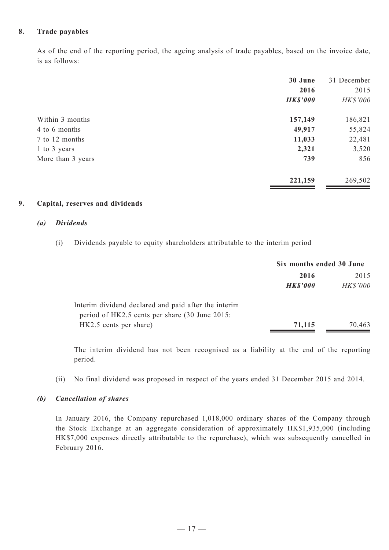#### **8. Trade payables**

As of the end of the reporting period, the ageing analysis of trade payables, based on the invoice date, is as follows:

|                   | 30 June         | 31 December |
|-------------------|-----------------|-------------|
|                   | 2016            | 2015        |
|                   | <b>HK\$'000</b> | HK\$'000    |
| Within 3 months   | 157,149         | 186,821     |
| 4 to 6 months     | 49,917          | 55,824      |
| 7 to 12 months    | 11,033          | 22,481      |
| 1 to 3 years      | 2,321           | 3,520       |
| More than 3 years | 739             | 856         |
|                   | 221,159         | 269,502     |

#### **9. Capital, reserves and dividends**

#### *(a) Dividends*

(i) Dividends payable to equity shareholders attributable to the interim period

|                                                      | Six months ended 30 June |                 |
|------------------------------------------------------|--------------------------|-----------------|
|                                                      | 2016                     | 2015            |
|                                                      | <b>HK\$'000</b>          | <b>HK\$'000</b> |
| Interim dividend declared and paid after the interim |                          |                 |
| period of HK2.5 cents per share (30 June 2015:       |                          |                 |
| HK2.5 cents per share)                               | 71,115                   | 70,463          |

The interim dividend has not been recognised as a liability at the end of the reporting period.

(ii) No final dividend was proposed in respect of the years ended 31 December 2015 and 2014.

#### *(b) Cancellation of shares*

In January 2016, the Company repurchased 1,018,000 ordinary shares of the Company through the Stock Exchange at an aggregate consideration of approximately HK\$1,935,000 (including HK\$7,000 expenses directly attributable to the repurchase), which was subsequently cancelled in February 2016.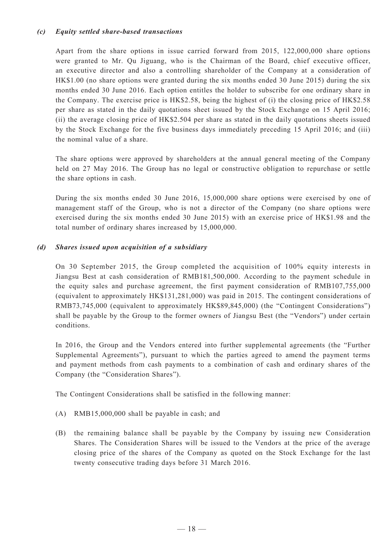#### *(c) Equity settled share-based transactions*

Apart from the share options in issue carried forward from 2015, 122,000,000 share options were granted to Mr. Qu Jiguang, who is the Chairman of the Board, chief executive officer, an executive director and also a controlling shareholder of the Company at a consideration of HK\$1.00 (no share options were granted during the six months ended 30 June 2015) during the six months ended 30 June 2016. Each option entitles the holder to subscribe for one ordinary share in the Company. The exercise price is HK\$2.58, being the highest of (i) the closing price of HK\$2.58 per share as stated in the daily quotations sheet issued by the Stock Exchange on 15 April 2016; (ii) the average closing price of HK\$2.504 per share as stated in the daily quotations sheets issued by the Stock Exchange for the five business days immediately preceding 15 April 2016; and (iii) the nominal value of a share.

The share options were approved by shareholders at the annual general meeting of the Company held on 27 May 2016. The Group has no legal or constructive obligation to repurchase or settle the share options in cash.

During the six months ended 30 June 2016, 15,000,000 share options were exercised by one of management staff of the Group, who is not a director of the Company (no share options were exercised during the six months ended 30 June 2015) with an exercise price of HK\$1.98 and the total number of ordinary shares increased by 15,000,000.

#### *(d) Shares issued upon acquisition of a subsidiary*

On 30 September 2015, the Group completed the acquisition of 100% equity interests in Jiangsu Best at cash consideration of RMB181,500,000. According to the payment schedule in the equity sales and purchase agreement, the first payment consideration of RMB107,755,000 (equivalent to approximately HK\$131,281,000) was paid in 2015. The contingent considerations of RMB73,745,000 (equivalent to approximately HK\$89,845,000) (the "Contingent Considerations") shall be payable by the Group to the former owners of Jiangsu Best (the "Vendors") under certain conditions.

In 2016, the Group and the Vendors entered into further supplemental agreements (the "Further Supplemental Agreements"), pursuant to which the parties agreed to amend the payment terms and payment methods from cash payments to a combination of cash and ordinary shares of the Company (the "Consideration Shares").

The Contingent Considerations shall be satisfied in the following manner:

- (A) RMB15,000,000 shall be payable in cash; and
- (B) the remaining balance shall be payable by the Company by issuing new Consideration Shares. The Consideration Shares will be issued to the Vendors at the price of the average closing price of the shares of the Company as quoted on the Stock Exchange for the last twenty consecutive trading days before 31 March 2016.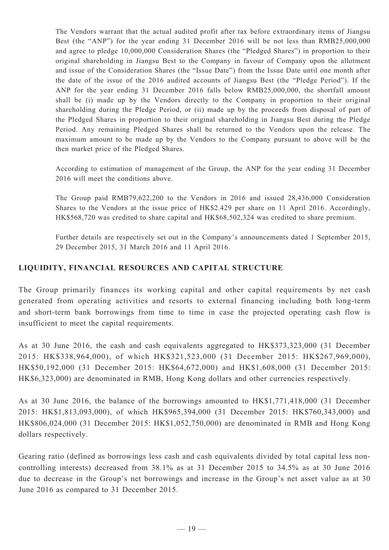The Vendors warrant that the actual audited profit after tax before extraordinary items of Jiangsu Best (the "ANP") for the year ending 31 December 2016 will be not less than RMB25,000,000 and agree to pledge 10,000,000 Consideration Shares (the "Pledged Shares") in proportion to their original shareholding in Jiangsu Best to the Company in favour of Company upon the allotment and issue of the Consideration Shares (the "Issue Date") from the Issue Date until one month after the date of the issue of the 2016 audited accounts of Jiangsu Best (the "Pledge Period"). If the ANP for the year ending 31 December 2016 falls below RMB25,000,000, the shortfall amount shall be (i) made up by the Vendors directly to the Company in proportion to their original shareholding during the Pledge Period, or (ii) made up by the proceeds from disposal of part of the Pledged Shares in proportion to their original shareholding in Jiangsu Best during the Pledge Period. Any remaining Pledged Shares shall be returned to the Vendors upon the release. The maximum amount to be made up by the Vendors to the Company pursuant to above will be the then market price of the Pledged Shares.

According to estimation of management of the Group, the ANP for the year ending 31 December 2016 will meet the conditions above.

The Group paid RMB79,622,200 to the Vendors in 2016 and issued 28,436,000 Consideration Shares to the Vendors at the issue price of HK\$2.429 per share on 11 April 2016. Accordingly, HK\$568,720 was credited to share capital and HK\$68,502,324 was credited to share premium.

Further details are respectively set out in the Company's announcements dated 1 September 2015, 29 December 2015, 31 March 2016 and 11 April 2016.

# **LIQUIDITY, FINANCIAL RESOURCES AND CAPITAL STRUCTURE**

The Group primarily finances its working capital and other capital requirements by net cash generated from operating activities and resorts to external financing including both long-term and short-term bank borrowings from time to time in case the projected operating cash flow is insufficient to meet the capital requirements.

As at 30 June 2016, the cash and cash equivalents aggregated to HK\$373,323,000 (31 December 2015: HK\$338,964,000), of which HK\$321,523,000 (31 December 2015: HK\$267,969,000), HK\$50,192,000 (31 December 2015: HK\$64,672,000) and HK\$1,608,000 (31 December 2015: HK\$6,323,000) are denominated in RMB, Hong Kong dollars and other currencies respectively.

As at 30 June 2016, the balance of the borrowings amounted to HK\$1,771,418,000 (31 December 2015: HK\$1,813,093,000), of which HK\$965,394,000 (31 December 2015: HK\$760,343,000) and HK\$806,024,000 (31 December 2015: HK\$1,052,750,000) are denominated in RMB and Hong Kong dollars respectively.

Gearing ratio (defined as borrowings less cash and cash equivalents divided by total capital less noncontrolling interests) decreased from 38.1% as at 31 December 2015 to 34.5% as at 30 June 2016 due to decrease in the Group's net borrowings and increase in the Group's net asset value as at 30 June 2016 as compared to 31 December 2015.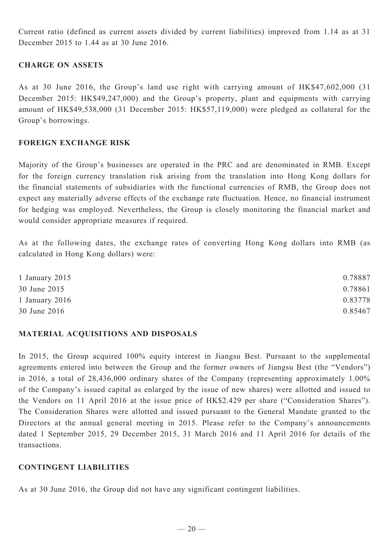Current ratio (defined as current assets divided by current liabilities) improved from 1.14 as at 31 December 2015 to 1.44 as at 30 June 2016.

# **CHARGE ON ASSETS**

As at 30 June 2016, the Group's land use right with carrying amount of HK\$47,602,000 (31 December 2015: HK\$49,247,000) and the Group's property, plant and equipments with carrying amount of HK\$49,538,000 (31 December 2015: HK\$57,119,000) were pledged as collateral for the Group's borrowings.

#### **FOREIGN EXCHANGE RISK**

Majority of the Group's businesses are operated in the PRC and are denominated in RMB. Except for the foreign currency translation risk arising from the translation into Hong Kong dollars for the financial statements of subsidiaries with the functional currencies of RMB, the Group does not expect any materially adverse effects of the exchange rate fluctuation. Hence, no financial instrument for hedging was employed. Nevertheless, the Group is closely monitoring the financial market and would consider appropriate measures if required.

As at the following dates, the exchange rates of converting Hong Kong dollars into RMB (as calculated in Hong Kong dollars) were:

| 1 January 2015   | 0.78887 |
|------------------|---------|
| 30 June 2015     | 0.78861 |
| 1 January $2016$ | 0.83778 |
| 30 June 2016     | 0.85467 |

## **Material acquisitions and disposals**

In 2015, the Group acquired 100% equity interest in Jiangsu Best. Pursuant to the supplemental agreements entered into between the Group and the former owners of Jiangsu Best (the "Vendors") in 2016, a total of 28,436,000 ordinary shares of the Company (representing approximately 1.00% of the Company's issued capital as enlarged by the issue of new shares) were allotted and issued to the Vendors on 11 April 2016 at the issue price of HK\$2.429 per share ("Consideration Shares"). The Consideration Shares were allotted and issued pursuant to the General Mandate granted to the Directors at the annual general meeting in 2015. Please refer to the Company's announcements dated 1 September 2015, 29 December 2015, 31 March 2016 and 11 April 2016 for details of the transactions.

#### **CONTINGENT LIABILITIES**

As at 30 June 2016, the Group did not have any significant contingent liabilities.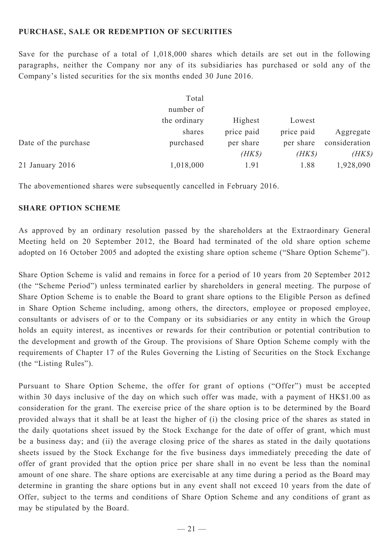## **PURCHASE, SALE OR REDEMPTION OF SECURITIES**

Save for the purchase of a total of 1,018,000 shares which details are set out in the following paragraphs, neither the Company nor any of its subsidiaries has purchased or sold any of the Company's listed securities for the six months ended 30 June 2016.

|                      | Total        |            |            |               |
|----------------------|--------------|------------|------------|---------------|
|                      | number of    |            |            |               |
|                      | the ordinary | Highest    | Lowest     |               |
|                      | shares       | price paid | price paid | Aggregate     |
| Date of the purchase | purchased    | per share  | per share  | consideration |
|                      |              | $(HK\$     | $(HK\$     | $(HK\$        |
| $21$ January $2016$  | 1,018,000    | 1.91       | 1.88       | 1,928,090     |

The abovementioned shares were subsequently cancelled in February 2016.

## **SHARE OPTION SCHEME**

As approved by an ordinary resolution passed by the shareholders at the Extraordinary General Meeting held on 20 September 2012, the Board had terminated of the old share option scheme adopted on 16 October 2005 and adopted the existing share option scheme ("Share Option Scheme").

Share Option Scheme is valid and remains in force for a period of 10 years from 20 September 2012 (the "Scheme Period") unless terminated earlier by shareholders in general meeting. The purpose of Share Option Scheme is to enable the Board to grant share options to the Eligible Person as defined in Share Option Scheme including, among others, the directors, employee or proposed employee, consultants or advisers of or to the Company or its subsidiaries or any entity in which the Group holds an equity interest, as incentives or rewards for their contribution or potential contribution to the development and growth of the Group. The provisions of Share Option Scheme comply with the requirements of Chapter 17 of the Rules Governing the Listing of Securities on the Stock Exchange (the "Listing Rules").

Pursuant to Share Option Scheme, the offer for grant of options ("Offer") must be accepted within 30 days inclusive of the day on which such offer was made, with a payment of HK\$1.00 as consideration for the grant. The exercise price of the share option is to be determined by the Board provided always that it shall be at least the higher of (i) the closing price of the shares as stated in the daily quotations sheet issued by the Stock Exchange for the date of offer of grant, which must be a business day; and (ii) the average closing price of the shares as stated in the daily quotations sheets issued by the Stock Exchange for the five business days immediately preceding the date of offer of grant provided that the option price per share shall in no event be less than the nominal amount of one share. The share options are exercisable at any time during a period as the Board may determine in granting the share options but in any event shall not exceed 10 years from the date of Offer, subject to the terms and conditions of Share Option Scheme and any conditions of grant as may be stipulated by the Board.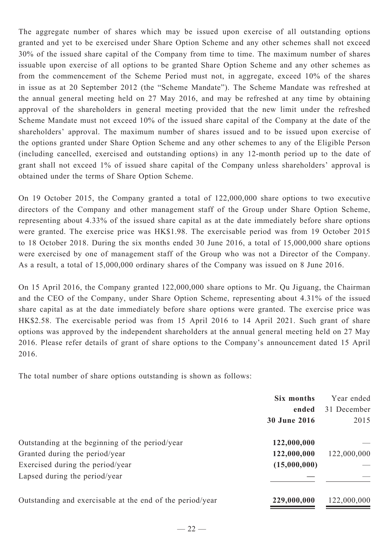The aggregate number of shares which may be issued upon exercise of all outstanding options granted and yet to be exercised under Share Option Scheme and any other schemes shall not exceed 30% of the issued share capital of the Company from time to time. The maximum number of shares issuable upon exercise of all options to be granted Share Option Scheme and any other schemes as from the commencement of the Scheme Period must not, in aggregate, exceed 10% of the shares in issue as at 20 September 2012 (the "Scheme Mandate"). The Scheme Mandate was refreshed at the annual general meeting held on 27 May 2016, and may be refreshed at any time by obtaining approval of the shareholders in general meeting provided that the new limit under the refreshed Scheme Mandate must not exceed 10% of the issued share capital of the Company at the date of the shareholders' approval. The maximum number of shares issued and to be issued upon exercise of the options granted under Share Option Scheme and any other schemes to any of the Eligible Person (including cancelled, exercised and outstanding options) in any 12-month period up to the date of grant shall not exceed 1% of issued share capital of the Company unless shareholders' approval is obtained under the terms of Share Option Scheme.

On 19 October 2015, the Company granted a total of 122,000,000 share options to two executive directors of the Company and other management staff of the Group under Share Option Scheme, representing about 4.33% of the issued share capital as at the date immediately before share options were granted. The exercise price was HK\$1.98. The exercisable period was from 19 October 2015 to 18 October 2018. During the six months ended 30 June 2016, a total of 15,000,000 share options were exercised by one of management staff of the Group who was not a Director of the Company. As a result, a total of 15,000,000 ordinary shares of the Company was issued on 8 June 2016.

On 15 April 2016, the Company granted 122,000,000 share options to Mr. Qu Jiguang, the Chairman and the CEO of the Company, under Share Option Scheme, representing about 4.31% of the issued share capital as at the date immediately before share options were granted. The exercise price was HK\$2.58. The exercisable period was from 15 April 2016 to 14 April 2021. Such grant of share options was approved by the independent shareholders at the annual general meeting held on 27 May 2016. Please refer details of grant of share options to the Company's announcement dated 15 April 2016.

The total number of share options outstanding is shown as follows:

|                                                           | Six months          | Year ended  |
|-----------------------------------------------------------|---------------------|-------------|
|                                                           | ended               | 31 December |
|                                                           | <b>30 June 2016</b> | 2015        |
| Outstanding at the beginning of the period/year           | 122,000,000         |             |
| Granted during the period/year                            | 122,000,000         | 122,000,000 |
| Exercised during the period/year                          | (15,000,000)        |             |
| Lapsed during the period/year                             |                     |             |
| Outstanding and exercisable at the end of the period/year | 229,000,000         | 122,000,000 |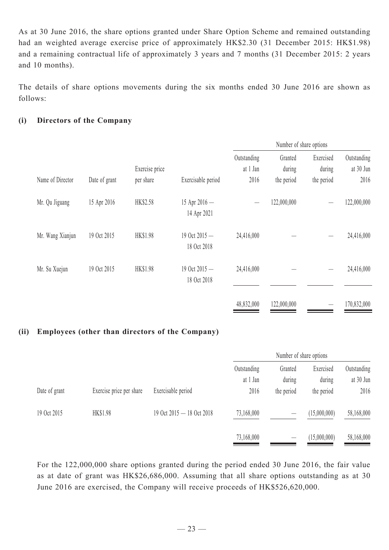As at 30 June 2016, the share options granted under Share Option Scheme and remained outstanding had an weighted average exercise price of approximately HK\$2.30 (31 December 2015: HK\$1.98) and a remaining contractual life of approximately 3 years and 7 months (31 December 2015: 2 years and 10 months).

The details of share options movements during the six months ended 30 June 2016 are shown as follows:

# **(i) Directors of the Company**

|                  |               |                             |                                | Number of share options         |                                 |                                   |                                  |
|------------------|---------------|-----------------------------|--------------------------------|---------------------------------|---------------------------------|-----------------------------------|----------------------------------|
| Name of Director | Date of grant | Exercise price<br>per share | Exercisable period             | Outstanding<br>at 1 Jan<br>2016 | Granted<br>during<br>the period | Exercised<br>during<br>the period | Outstanding<br>at 30 Jun<br>2016 |
| Mr. Qu Jiguang   | 15 Apr 2016   | HK\$2.58                    | 15 Apr $2016 -$<br>14 Apr 2021 |                                 | 122,000,000                     |                                   | 122,000,000                      |
| Mr. Wang Xianjun | 19 Oct 2015   | HK\$1.98                    | 19 Oct 2015 -<br>18 Oct 2018   | 24,416,000                      |                                 |                                   | 24,416,000                       |
| Mr. Su Xuejun    | 19 Oct 2015   | HK\$1.98                    | 19 Oct 2015 -<br>18 Oct 2018   | 24,416,000                      |                                 |                                   | 24,416,000                       |
|                  |               |                             |                                | 48,832,000                      | 122,000,000                     |                                   | 170,832,000                      |

# **(ii) Employees (other than directors of the Company)**

|               |                          |                           | Number of share options |                   |                     |                          |
|---------------|--------------------------|---------------------------|-------------------------|-------------------|---------------------|--------------------------|
|               |                          |                           | Outstanding<br>at 1 Jan | Granted<br>during | Exercised<br>during | Outstanding<br>at 30 Jun |
| Date of grant | Exercise price per share | Exercisable period        | 2016                    | the period        | the period          | 2016                     |
| 19 Oct 2015   | <b>HK\$1.98</b>          | 19 Oct 2015 - 18 Oct 2018 | 73,168,000              |                   | (15,000,000)        | 58,168,000               |
|               |                          |                           | 73,168,000              |                   | (15,000,000)        | 58,168,000               |

For the 122,000,000 share options granted during the period ended 30 June 2016, the fair value as at date of grant was HK\$26,686,000. Assuming that all share options outstanding as at 30 June 2016 are exercised, the Company will receive proceeds of HK\$526,620,000.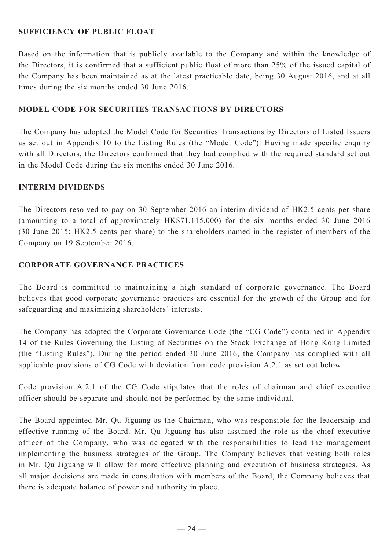# **SUFFICIENCY OF PUBLIC FLOAT**

Based on the information that is publicly available to the Company and within the knowledge of the Directors, it is confirmed that a sufficient public float of more than 25% of the issued capital of the Company has been maintained as at the latest practicable date, being 30 August 2016, and at all times during the six months ended 30 June 2016.

# **Model Code for Securities Transactions by Directors**

The Company has adopted the Model Code for Securities Transactions by Directors of Listed Issuers as set out in Appendix 10 to the Listing Rules (the "Model Code"). Having made specific enquiry with all Directors, the Directors confirmed that they had complied with the required standard set out in the Model Code during the six months ended 30 June 2016.

## **Interim DIVIDENDS**

The Directors resolved to pay on 30 September 2016 an interim dividend of HK2.5 cents per share (amounting to a total of approximately HK\$71,115,000) for the six months ended 30 June 2016 (30 June 2015: HK2.5 cents per share) to the shareholders named in the register of members of the Company on 19 September 2016.

## **Corporate Governance Practices**

The Board is committed to maintaining a high standard of corporate governance. The Board believes that good corporate governance practices are essential for the growth of the Group and for safeguarding and maximizing shareholders' interests.

The Company has adopted the Corporate Governance Code (the "CG Code") contained in Appendix 14 of the Rules Governing the Listing of Securities on the Stock Exchange of Hong Kong Limited (the "Listing Rules"). During the period ended 30 June 2016, the Company has complied with all applicable provisions of CG Code with deviation from code provision A.2.1 as set out below.

Code provision A.2.1 of the CG Code stipulates that the roles of chairman and chief executive officer should be separate and should not be performed by the same individual.

The Board appointed Mr. Qu Jiguang as the Chairman, who was responsible for the leadership and effective running of the Board. Mr. Qu Jiguang has also assumed the role as the chief executive officer of the Company, who was delegated with the responsibilities to lead the management implementing the business strategies of the Group. The Company believes that vesting both roles in Mr. Qu Jiguang will allow for more effective planning and execution of business strategies. As all major decisions are made in consultation with members of the Board, the Company believes that there is adequate balance of power and authority in place.